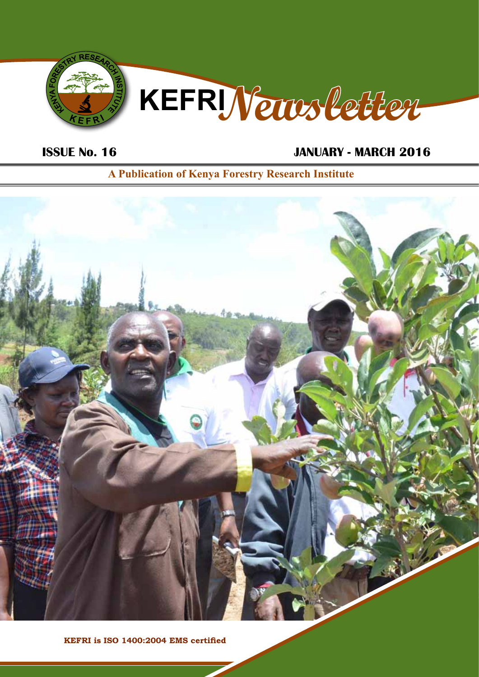

# **ISSUE No. 16 JANUARY - MARCH 2016**

**A Publication of Kenya Forestry Research Institute**



**KEFRI is ISO 1400:2004 EMS certified**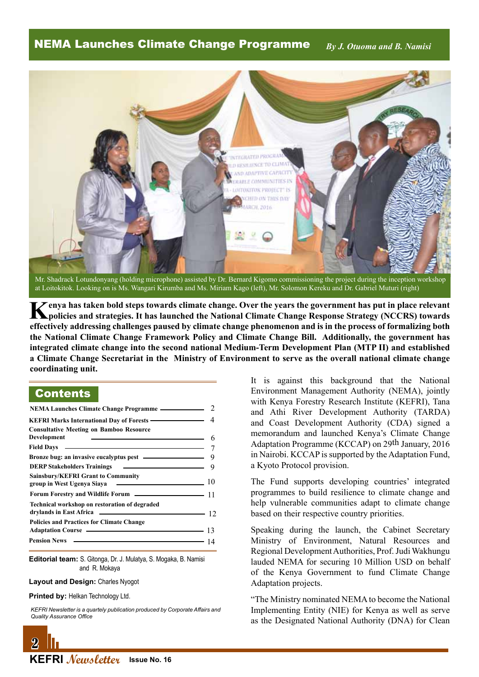NEMA Launches Climate Change Programme *By J. Otuoma and B. Namisi*



Mr. Shadrack Lotundonyang (holding microphone) assisted by Dr. Bernard Kigomo commissioning the project during the inception workshop at Loitokitok. Looking on is Ms. Wangari Kirumba and Ms. Miriam Kago (left), Mr. Solomon Kereku and Dr. Gabriel Muturi (right)

**Kenya has taken bold steps towards climate change. Over the years the government has put in place relevant policies and strategies. It has launched the National Climate Change Response Strategy (NCCRS) towards effectively addressing challenges paused by climate change phenomenon and is in the process of formalizing both the National Climate Change Framework Policy and Climate Change Bill. Additionally, the government has integrated climate change into the second national Medium-Term Development Plan (MTP II) and established a Climate Change Secretariat in the Ministry of Environment to serve as the overall national climate change coordinating unit.**

# **Contents**

| NEMA Launches Climate Change Programme ———————————————————— 2                                                                                                                    |  |
|----------------------------------------------------------------------------------------------------------------------------------------------------------------------------------|--|
| KEFRI Marks International Day of Forests ———————————————————— 4                                                                                                                  |  |
| <b>Consultative Meeting on Bamboo Resource</b><br>Development<br>$\sim$ 6                                                                                                        |  |
| Field Days $\qquad \qquad \qquad$                                                                                                                                                |  |
|                                                                                                                                                                                  |  |
|                                                                                                                                                                                  |  |
| <b>Sainsbury/KEFRI Grant to Community</b><br>$\sim$ 10<br>group in West Ugenya Siaya                                                                                             |  |
| Forum Forestry and Wildlife Forum ———————————————————— 11                                                                                                                        |  |
| Technical workshop on restoration of degraded                                                                                                                                    |  |
| <b>Policies and Practices for Climate Change</b><br>Adaptation Course <u>example and the set of a</u> set of a set of a set of a set of a set of a set of a set of a set of $13$ |  |
|                                                                                                                                                                                  |  |

**Editorial team:** S. Gitonga, Dr. J. Mulatya, S. Mogaka, B. Namisi and R. Mokaya

#### **Layout and Design:** Charles Nyogot

**Printed by: Helkan Technology Ltd.** 

*KEFRI Newsletter is a quartely publication produced by Corporate Affairs and Quality Assurance Office*



It is against this background that the National Environment Management Authority (NEMA), jointly with Kenya Forestry Research Institute (KEFRI), Tana and Athi River Development Authority (TARDA) and Coast Development Authority (CDA) signed a memorandum and launched Kenya's Climate Change Adaptation Programme (KCCAP) on 29th January, 2016 in Nairobi. KCCAP is supported by the Adaptation Fund, a Kyoto Protocol provision.

The Fund supports developing countries' integrated programmes to build resilience to climate change and help vulnerable communities adapt to climate change based on their respective country priorities.

Speaking during the launch, the Cabinet Secretary Ministry of Environment, Natural Resources and Regional Development Authorities, Prof. Judi Wakhungu lauded NEMA for securing 10 Million USD on behalf of the Kenya Government to fund Climate Change Adaptation projects.

"The Ministry nominated NEMA to become the National Implementing Entity (NIE) for Kenya as well as serve as the Designated National Authority (DNA) for Clean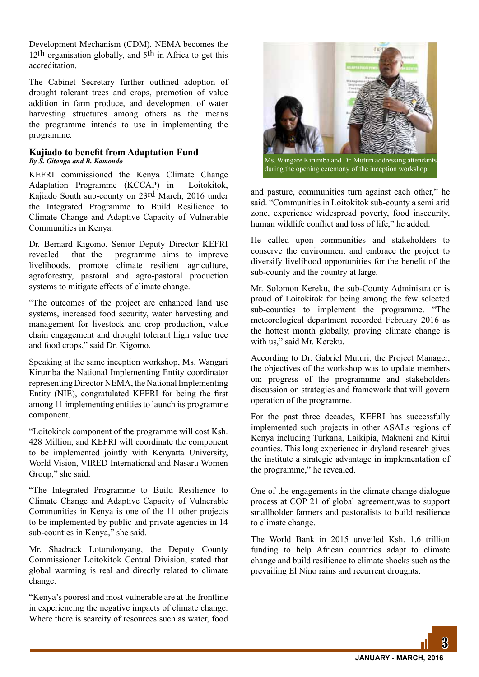Development Mechanism (CDM). NEMA becomes the 12<sup>th</sup> organisation globally, and 5<sup>th</sup> in Africa to get this accreditation.

The Cabinet Secretary further outlined adoption of drought tolerant trees and crops, promotion of value addition in farm produce, and development of water harvesting structures among others as the means the programme intends to use in implementing the programme.

#### **Kajiado to benefit from Adaptation Fund** *By S. Gitonga and B. Kamondo*

KEFRI commissioned the Kenya Climate Change Adaptation Programme (KCCAP) in Loitokitok, Kajiado South sub-county on 23rd March, 2016 under the Integrated Programme to Build Resilience to Climate Change and Adaptive Capacity of Vulnerable Communities in Kenya.

Dr. Bernard Kigomo, Senior Deputy Director KEFRI revealed that the programme aims to improve livelihoods, promote climate resilient agriculture, agroforestry, pastoral and agro-pastoral production systems to mitigate effects of climate change.

"The outcomes of the project are enhanced land use systems, increased food security, water harvesting and management for livestock and crop production, value chain engagement and drought tolerant high value tree and food crops," said Dr. Kigomo.

Speaking at the same inception workshop, Ms. Wangari Kirumba the National Implementing Entity coordinator representing Director NEMA, the National Implementing Entity (NIE), congratulated KEFRI for being the first among 11 implementing entities to launch its programme component.

"Loitokitok component of the programme will cost Ksh. 428 Million, and KEFRI will coordinate the component to be implemented jointly with Kenyatta University, World Vision, VIRED International and Nasaru Women Group," she said.

"The Integrated Programme to Build Resilience to Climate Change and Adaptive Capacity of Vulnerable Communities in Kenya is one of the 11 other projects to be implemented by public and private agencies in 14 sub-counties in Kenya," she said.

Mr. Shadrack Lotundonyang, the Deputy County Commissioner Loitokitok Central Division, stated that global warming is real and directly related to climate change.

"Kenya's poorest and most vulnerable are at the frontline in experiencing the negative impacts of climate change. Where there is scarcity of resources such as water, food



Ms. Wangare Kirumba and Dr. Muturi addressing attendants during the opening ceremony of the inception workshop

and pasture, communities turn against each other," he said. "Communities in Loitokitok sub-county a semi arid zone, experience widespread poverty, food insecurity, human wildlife conflict and loss of life," he added.

He called upon communities and stakeholders to conserve the environment and embrace the project to diversify livelihood opportunities for the benefit of the sub-county and the country at large.

Mr. Solomon Kereku, the sub-County Administrator is proud of Loitokitok for being among the few selected sub-counties to implement the programme. "The meteorological department recorded February 2016 as the hottest month globally, proving climate change is with us," said Mr. Kereku.

According to Dr. Gabriel Muturi, the Project Manager, the objectives of the workshop was to update members on; progress of the programnme and stakeholders discussion on strategies and framework that will govern operation of the programme.

For the past three decades, KEFRI has successfully implemented such projects in other ASALs regions of Kenya including Turkana, Laikipia, Makueni and Kitui counties. This long experience in dryland research gives the institute a strategic advantage in implementation of the programme," he revealed.

One of the engagements in the climate change dialogue process at COP 21 of global agreement,was to support smallholder farmers and pastoralists to build resilience to climate change.

The World Bank in 2015 unveiled Ksh. 1.6 trillion funding to help African countries adapt to climate change and build resilience to climate shocks such as the prevailing El Nino rains and recurrent droughts.

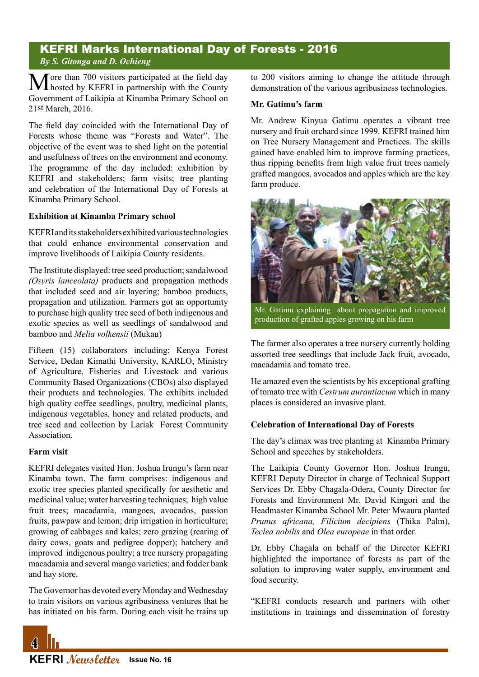# KEFRI Marks International Day of Forests - 2016 *By S. Gitonga and D. Ochieng*

More than 700 visitors participated at the field day<br>
hosted by KEFRI in partnership with the County Government of Laikipia at Kinamba Primary School on 21st March, 2016.

The field day coincided with the International Day of Forests whose theme was "Forests and Water". The objective of the event was to shed light on the potential and usefulness of trees on the environment and economy. The programme of the day included: exhibition by KEFRI and stakeholders; farm visits; tree planting and celebration of the International Day of Forests at Kinamba Primary School.

#### **Exhibition at Kinamba Primary school**

KEFRI and its stakeholders exhibited various technologies that could enhance environmental conservation and improve livelihoods of Laikipia County residents.

The Institute displayed: tree seed production; sandalwood *(Osyris lanceolata)* products and propagation methods that included seed and air layering; bamboo products, propagation and utilization. Farmers got an opportunity to purchase high quality tree seed of both indigenous and exotic species as well as seedlings of sandalwood and bamboo and *Melia volkensii* (Mukau)

Fifteen (15) collaborators including; Kenya Forest Service, Dedan Kimathi University, KARLO, Ministry of Agriculture, Fisheries and Livestock and various Community Based Organizations (CBOs) also displayed their products and technologies. The exhibits included high quality coffee seedlings, poultry, medicinal plants, indigenous vegetables, honey and related products, and tree seed and collection by Lariak Forest Community Association.

#### **Farm visit**

KEFRI delegates visited Hon. Joshua Irungu's farm near Kinamba town. The farm comprises: indigenous and exotic tree species planted specifically for aesthetic and medicinal value; water harvesting techniques; high value fruit trees; macadamia, mangoes, avocados, passion fruits, pawpaw and lemon; drip irrigation in horticulture; growing of cabbages and kales; zero grazing (rearing of dairy cows, goats and pedigree dopper); hatchery and improved indigenous poultry; a tree nursery propagating macadamia and several mango varieties; and fodder bank and hay store.

The Governor has devoted every Monday and Wednesday to train visitors on various agribusiness ventures that he has initiated on his farm. During each visit he trains up to 200 visitors aiming to change the attitude through demonstration of the various agribusiness technologies.

#### **Mr. Gatimu's farm**

Mr. Andrew Kinyua Gatimu operates a vibrant tree nursery and fruit orchard since 1999. KEFRI trained him on Tree Nursery Management and Practices. The skills gained have enabled him to improve farming practices, thus ripping benefits from high value fruit trees namely grafted mangoes, avocados and apples which are the key farm produce.



Mr. Gatimu explaining about propagation and improved production of grafted apples growing on his farm

The farmer also operates a tree nursery currently holding assorted tree seedlings that include Jack fruit, avocado, macadamia and tomato tree.

He amazed even the scientists by his exceptional grafting of tomato tree with *Cestrum aurantiacum* which in many places is considered an invasive plant.

#### **Celebration of International Day of Forests**

The day's climax was tree planting at Kinamba Primary School and speeches by stakeholders.

The Laikipia County Governor Hon. Joshua Irungu, KEFRI Deputy Director in charge of Technical Support Services Dr. Ebby Chagala-Odera, County Director for Forests and Environment Mr. David Kingori and the Headmaster Kinamba School Mr. Peter Mwaura planted *Prunus africana, Filicium decipiens* (Thika Palm), *Teclea nobilis* and *Olea europeae* in that order.

Dr. Ebby Chagala on behalf of the Director KEFRI highlighted the importance of forests as part of the solution to improving water supply, environment and food security.

"KEFRI conducts research and partners with other institutions in trainings and dissemination of forestry

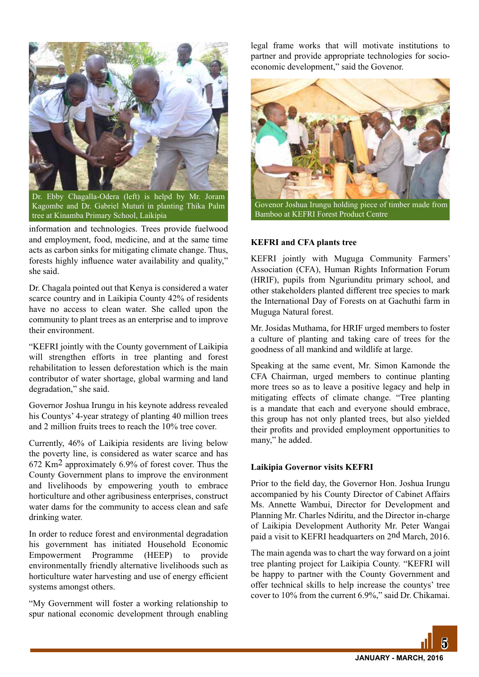

Dr. Ebby Chagalla-Odera (left) is helpd by Mr. Joram Kagombe and Dr. Gabriel Muturi in planting Thika Palm tree at Kinamba Primary School, Laikipia

information and technologies. Trees provide fuelwood and employment, food, medicine, and at the same time acts as carbon sinks for mitigating climate change. Thus, forests highly influence water availability and quality," she said.

Dr. Chagala pointed out that Kenya is considered a water scarce country and in Laikipia County 42% of residents have no access to clean water. She called upon the community to plant trees as an enterprise and to improve their environment.

"KEFRI jointly with the County government of Laikipia will strengthen efforts in tree planting and forest rehabilitation to lessen deforestation which is the main contributor of water shortage, global warming and land degradation," she said.

Governor Joshua Irungu in his keynote address revealed his Countys' 4-year strategy of planting 40 million trees and 2 million fruits trees to reach the 10% tree cover.

Currently, 46% of Laikipia residents are living below the poverty line, is considered as water scarce and has 672 Km2 approximately 6.9% of forest cover. Thus the County Government plans to improve the environment and livelihoods by empowering youth to embrace horticulture and other agribusiness enterprises, construct water dams for the community to access clean and safe drinking water.

In order to reduce forest and environmental degradation his government has initiated Household Economic Empowerment Programme (HEEP) to provide environmentally friendly alternative livelihoods such as horticulture water harvesting and use of energy efficient systems amongst others.

"My Government will foster a working relationship to spur national economic development through enabling legal frame works that will motivate institutions to partner and provide appropriate technologies for socioeconomic development," said the Govenor.



Bamboo at KEFRI Forest Product Centre

#### **KEFRI and CFA plants tree**

KEFRI jointly with Muguga Community Farmers' Association (CFA), Human Rights Information Forum (HRIF), pupils from Nguriunditu primary school, and other stakeholders planted different tree species to mark the International Day of Forests on at Gachuthi farm in Muguga Natural forest.

Mr. Josidas Muthama, for HRIF urged members to foster a culture of planting and taking care of trees for the goodness of all mankind and wildlife at large.

Speaking at the same event, Mr. Simon Kamonde the CFA Chairman, urged members to continue planting more trees so as to leave a positive legacy and help in mitigating effects of climate change. "Tree planting is a mandate that each and everyone should embrace, this group has not only planted trees, but also yielded their profits and provided employment opportunities to many," he added.

#### **Laikipia Governor visits KEFRI**

Prior to the field day, the Governor Hon. Joshua Irungu accompanied by his County Director of Cabinet Affairs Ms. Annette Wambui, Director for Development and Planning Mr. Charles Ndiritu, and the Director in-charge of Laikipia Development Authority Mr. Peter Wangai paid a visit to KEFRI headquarters on 2nd March, 2016.

The main agenda was to chart the way forward on a joint tree planting project for Laikipia County. "KEFRI will be happy to partner with the County Government and offer technical skills to help increase the countys' tree cover to 10% from the current 6.9%," said Dr. Chikamai.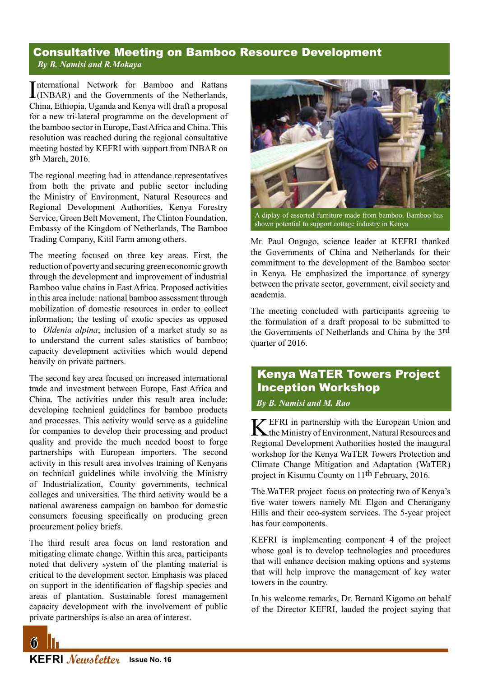# Consultative Meeting on Bamboo Resource Development *By B. Namisi and R.Mokaya*

International Network for Bamboo and Rattans<br>(INBAR) and the Governments of the Netherlands, (INBAR) and the Governments of the Netherlands, China, Ethiopia, Uganda and Kenya will draft a proposal for a new tri-lateral programme on the development of the bamboo sector in Europe, East Africa and China. This resolution was reached during the regional consultative meeting hosted by KEFRI with support from INBAR on 8th March, 2016.

The regional meeting had in attendance representatives from both the private and public sector including the Ministry of Environment, Natural Resources and Regional Development Authorities, Kenya Forestry Service, Green Belt Movement, The Clinton Foundation, Embassy of the Kingdom of Netherlands, The Bamboo Trading Company, Kitil Farm among others.

The meeting focused on three key areas. First, the reduction of poverty and securing green economic growth through the development and improvement of industrial Bamboo value chains in East Africa. Proposed activities in this area include: national bamboo assessment through mobilization of domestic resources in order to collect information; the testing of exotic species as opposed to *Oldenia alpina*; inclusion of a market study so as to understand the current sales statistics of bamboo; capacity development activities which would depend heavily on private partners.

The second key area focused on increased international trade and investment between Europe, East Africa and China. The activities under this result area include: developing technical guidelines for bamboo products and processes. This activity would serve as a guideline for companies to develop their processing and product quality and provide the much needed boost to forge partnerships with European importers. The second activity in this result area involves training of Kenyans on technical guidelines while involving the Ministry of Industrialization, County governments, technical colleges and universities. The third activity would be a national awareness campaign on bamboo for domestic consumers focusing specifically on producing green procurement policy briefs.

The third result area focus on land restoration and mitigating climate change. Within this area, participants noted that delivery system of the planting material is critical to the development sector. Emphasis was placed on support in the identification of flagship species and areas of plantation. Sustainable forest management capacity development with the involvement of public private partnerships is also an area of interest.



shown potential to support cottage industry in Kenya

Mr. Paul Ongugo, science leader at KEFRI thanked the Governments of China and Netherlands for their commitment to the development of the Bamboo sector in Kenya. He emphasized the importance of synergy between the private sector, government, civil society and academia.

The meeting concluded with participants agreeing to the formulation of a draft proposal to be submitted to the Governments of Netherlands and China by the 3rd quarter of 2016.

# Kenya WaTER Towers Project Inception Workshop *By B. Namisi and M. Rao*

KEFRI in partnership with the European Union and the Ministry of Environment, Natural Resources and Regional Development Authorities hosted the inaugural workshop for the Kenya WaTER Towers Protection and Climate Change Mitigation and Adaptation (WaTER) project in Kisumu County on 11th February, 2016.

The WaTER project focus on protecting two of Kenya's five water towers namely Mt. Elgon and Cherangany Hills and their eco-system services. The 5-year project has four components.

KEFRI is implementing component 4 of the project whose goal is to develop technologies and procedures that will enhance decision making options and systems that will help improve the management of key water towers in the country.

In his welcome remarks, Dr. Bernard Kigomo on behalf of the Director KEFRI, lauded the project saying that

**KEFRI Newsletter Issue No. 16**

 $\mathbb{G}% _{n}$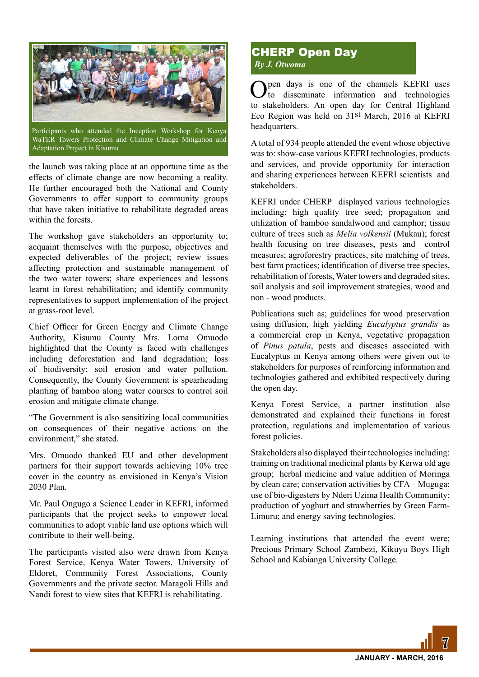

WaTER Towers Protection and Climate Change Mitigation and Adaptation Project in Kisumu

the launch was taking place at an opportune time as the effects of climate change are now becoming a reality. He further encouraged both the National and County Governments to offer support to community groups that have taken initiative to rehabilitate degraded areas within the forests.

The workshop gave stakeholders an opportunity to; acquaint themselves with the purpose, objectives and expected deliverables of the project; review issues affecting protection and sustainable management of the two water towers; share experiences and lessons learnt in forest rehabilitation; and identify community representatives to support implementation of the project at grass-root level.

Chief Officer for Green Energy and Climate Change Authority, Kisumu County Mrs. Lorna Omuodo highlighted that the County is faced with challenges including deforestation and land degradation; loss of biodiversity; soil erosion and water pollution. Consequently, the County Government is spearheading planting of bamboo along water courses to control soil erosion and mitigate climate change.

"The Government is also sensitizing local communities on consequences of their negative actions on the environment," she stated.

Mrs. Omuodo thanked EU and other development partners for their support towards achieving 10% tree cover in the country as envisioned in Kenya's Vision 2030 Plan.

Mr. Paul Ongugo a Science Leader in KEFRI, informed participants that the project seeks to empower local communities to adopt viable land use options which will contribute to their well-being.

The participants visited also were drawn from Kenya Forest Service, Kenya Water Towers, University of Eldoret, Community Forest Associations, County Governments and the private sector. Maragoli Hills and Nandi forest to view sites that KEFRI is rehabilitating.

# CHERP Open Day *By J. Otwoma*

Open days is one of the channels KEFRI uses to disseminate information and technologies to stakeholders. An open day for Central Highland Eco Region was held on 31st March, 2016 at KEFRI headquarters.

A total of 934 people attended the event whose objective was to: show-case various KEFRI technologies, products and services, and provide opportunity for interaction and sharing experiences between KEFRI scientists and stakeholders.

KEFRI under CHERP displayed various technologies including: high quality tree seed; propagation and utilization of bamboo sandalwood and camphor; tissue culture of trees such as *Melia volkensii* (Mukau); forest health focusing on tree diseases, pests and control measures; agroforestry practices, site matching of trees, best farm practices; identification of diverse tree species, rehabilitation of forests, Water towers and degraded sites, soil analysis and soil improvement strategies, wood and non - wood products.

Publications such as; guidelines for wood preservation using diffusion, high yielding *Eucalyptus grandis* as a commercial crop in Kenya, vegetative propagation of *Pinus patula*, pests and diseases associated with Eucalyptus in Kenya among others were given out to stakeholders for purposes of reinforcing information and technologies gathered and exhibited respectively during the open day.

Kenya Forest Service, a partner institution also demonstrated and explained their functions in forest protection, regulations and implementation of various forest policies.

Stakeholders also displayed their technologies including: training on traditional medicinal plants by Kerwa old age group; herbal medicine and value addition of Moringa by clean care; conservation activities by CFA – Muguga; use of bio-digesters by Nderi Uzima Health Community; production of yoghurt and strawberries by Green Farm-Limuru; and energy saving technologies.

Learning institutions that attended the event were; Precious Primary School Zambezi, Kikuyu Boys High School and Kabianga University College.

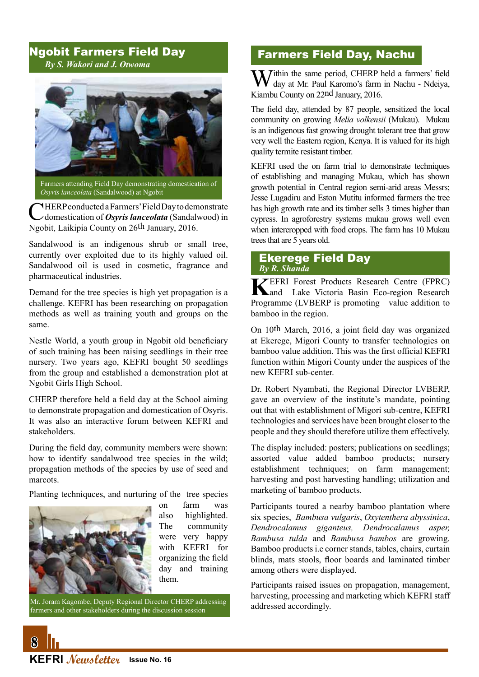# Ngobit Farmers Field Day *By S. Wakori and J. Otwoma*



*Osyris lanceolata* (Sandalwood) at Ngobit

CHERP conducted a Farmers' Field Day to demonstrate<br>
domestication of *Osyris lanceolata* (Sandalwood) in Ngobit, Laikipia County on 26th January, 2016.

Sandalwood is an indigenous shrub or small tree, currently over exploited due to its highly valued oil. Sandalwood oil is used in cosmetic, fragrance and pharmaceutical industries.

Demand for the tree species is high yet propagation is a challenge. KEFRI has been researching on propagation methods as well as training youth and groups on the same.

Nestle World, a youth group in Ngobit old beneficiary of such training has been raising seedlings in their tree nursery. Two years ago, KEFRI bought 50 seedlings from the group and established a demonstration plot at Ngobit Girls High School.

CHERP therefore held a field day at the School aiming to demonstrate propagation and domestication of Osyris. It was also an interactive forum between KEFRI and stakeholders.

During the field day, community members were shown: how to identify sandalwood tree species in the wild; propagation methods of the species by use of seed and marcots.

Planting techniquces, and nurturing of the tree species



on farm was also highlighted. The community were very happy with KEFRI for organizing the field day and training them.

Mr. Joram Kagombe, Deputy Regional Director CHERP addressing farmers and other stakeholders during the discussion session

# Farmers Field Day, Nachu

Within the same period, CHERP held a farmers' field day at Mr. Paul Karomo's farm in Nachu - Ndeiya, Kiambu County on 22nd January, 2016.

The field day, attended by 87 people, sensitized the local community on growing *Melia volkensii* (Mukau). Mukau is an indigenous fast growing drought tolerant tree that grow very well the Eastern region, Kenya. It is valued for its high quality termite resistant timber.

KEFRI used the on farm trial to demonstrate techniques of establishing and managing Mukau, which has shown growth potential in Central region semi-arid areas Messrs; Jesse Lugadiru and Eston Mutitu informed farmers the tree has high growth rate and its timber sells 3 times higher than cypress. In agroforestry systems mukau grows well even when intercropped with food crops. The farm has 10 Mukau trees that are 5 years old.

#### Ekerege Field Day *By R. Shanda*

**K**EFRI Forest Products Research Centre (FPRC) and Lake Victoria Basin Eco-region Research Programme (LVBERP is promoting value addition to bamboo in the region.

On 10th March, 2016, a joint field day was organized at Ekerege, Migori County to transfer technologies on bamboo value addition. This was the first official KEFRI function within Migori County under the auspices of the new KEFRI sub-center.

Dr. Robert Nyambati, the Regional Director LVBERP, gave an overview of the institute's mandate, pointing out that with establishment of Migori sub-centre, KEFRI technologies and services have been brought closer to the people and they should therefore utilize them effectively.

The display included: posters; publications on seedlings; assorted value added bamboo products; nursery establishment techniques; on farm management; harvesting and post harvesting handling; utilization and marketing of bamboo products.

Participants toured a nearby bamboo plantation where six species, *Bambusa vulgaris*, *Oxytenthera abyssinica*, *Dendrocalamus giganteus, Dendrocalamus asper, Bambusa tulda* and *Bambusa bambos* are growing. Bamboo products i.e corner stands, tables, chairs, curtain blinds, mats stools, floor boards and laminated timber among others were displayed.

Participants raised issues on propagation, management, harvesting, processing and marketing which KEFRI staff addressed accordingly.

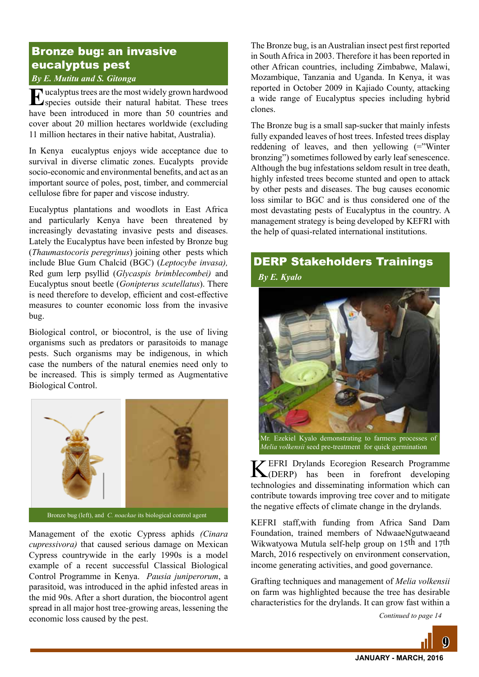# Bronze bug: an invasive eucalyptus pest

## *By E. Mutitu and S. Gitonga*

Eucalyptus trees are the most widely grown hardwood species outside their natural habitat. These trees have been introduced in more than 50 countries and cover about 20 million hectares worldwide (excluding 11 million hectares in their native habitat, Australia).

In Kenya eucalyptus enjoys wide acceptance due to survival in diverse climatic zones. Eucalypts provide socio-economic and environmental benefits, and act as an important source of poles, post, timber, and commercial cellulose fibre for paper and viscose industry.

Eucalyptus plantations and woodlots in East Africa and particularly Kenya have been threatened by increasingly devastating invasive pests and diseases. Lately the Eucalyptus have been infested by Bronze bug (*Thaumastocoris peregrinus*) joining other pests which include Blue Gum Chalcid (BGC) (*Leptocybe invasa),* Red gum lerp psyllid (*Glycaspis brimblecombei)* and Eucalyptus snout beetle (*Gonipterus scutellatus*). There is need therefore to develop, efficient and cost-effective measures to counter economic loss from the invasive bug.

Biological control, or biocontrol, is the use of living organisms such as predators or parasitoids to manage pests. Such organisms may be indigenous, in which case the numbers of the natural enemies need only to be increased. This is simply termed as Augmentative Biological Control.



Bronze bug (left), and *C. noackae* its biological control agent

Management of the exotic Cypress aphids *(Cinara cupressivora)* that caused serious damage on Mexican Cypress countrywide in the early 1990s is a model example of a recent successful Classical Biological Control Programme in Kenya. *Pausia juniperorum*, a parasitoid, was introduced in the aphid infested areas in the mid 90s. After a short duration, the biocontrol agent spread in all major host tree-growing areas, lessening the economic loss caused by the pest.

The Bronze bug, is an Australian insect pest first reported in South Africa in 2003. Therefore it has been reported in other African countries, including Zimbabwe, Malawi, Mozambique, Tanzania and Uganda. In Kenya, it was reported in October 2009 in Kajiado County, attacking a wide range of Eucalyptus species including hybrid clones.

The Bronze bug is a small sap-sucker that mainly infests fully expanded leaves of host trees. Infested trees display reddening of leaves, and then yellowing (="Winter bronzing") sometimes followed by early leaf senescence. Although the bug infestations seldom result in tree death, highly infested trees become stunted and open to attack by other pests and diseases. The bug causes economic loss similar to BGC and is thus considered one of the most devastating pests of Eucalyptus in the country. A management strategy is being developed by KEFRI with the help of quasi-related international institutions.

# DERP Stakeholders Trainings

*By E. Kyalo*



*Melia volkensii* seed pre-treatment for quick germination

KEFRI Drylands Ecoregion Research Programme (DERP) has been in forefront developing technologies and disseminating information which can contribute towards improving tree cover and to mitigate the negative effects of climate change in the drylands.

KEFRI staff,with funding from Africa Sand Dam Foundation, trained members of NdwaaeNgutwaeand Wikwatyowa Mutula self-help group on 15th and 17th March, 2016 respectively on environment conservation, income generating activities, and good governance.

Grafting techniques and management of *Melia volkensii*  on farm was highlighted because the tree has desirable characteristics for the drylands. It can grow fast within a

*Continued to page 14*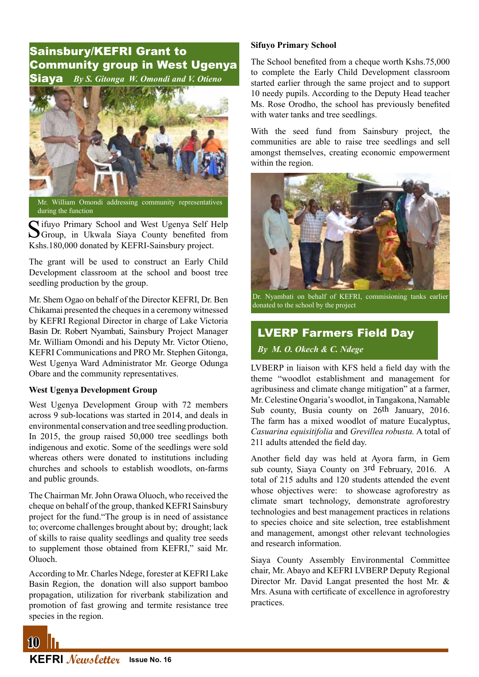# Sainsbury/KEFRI Grant to Community group in West Ugenya Siaya *By S. Gitonga W. Omondi and V. Otieno*



Mr. William Omondi addressing community representatives during the function

C ifuyo Primary School and West Ugenya Self Help **O**Group, in Ukwala Siava County benefited from Kshs.180,000 donated by KEFRI-Sainsbury project.

The grant will be used to construct an Early Child Development classroom at the school and boost tree seedling production by the group.

Mr. Shem Ogao on behalf of the Director KEFRI, Dr. Ben Chikamai presented the cheques in a ceremony witnessed by KEFRI Regional Director in charge of Lake Victoria Basin Dr. Robert Nyambati, Sainsbury Project Manager Mr. William Omondi and his Deputy Mr. Victor Otieno, KEFRI Communications and PRO Mr. Stephen Gitonga, West Ugenya Ward Administrator Mr. George Odunga Obare and the community representatives.

#### **West Ugenya Development Group**

West Ugenya Development Group with 72 members across 9 sub-locations was started in 2014, and deals in environmental conservation and tree seedling production. In 2015, the group raised 50,000 tree seedlings both indigenous and exotic. Some of the seedlings were sold whereas others were donated to institutions including churches and schools to establish woodlots, on-farms and public grounds.

The Chairman Mr. John Orawa Oluoch, who received the cheque on behalf of the group, thanked KEFRI Sainsbury project for the fund."The group is in need of assistance to; overcome challenges brought about by; drought; lack of skills to raise quality seedlings and quality tree seeds to supplement those obtained from KEFRI," said Mr. Oluoch.

According to Mr. Charles Ndege, forester at KEFRI Lake Basin Region, the donation will also support bamboo propagation, utilization for riverbank stabilization and promotion of fast growing and termite resistance tree species in the region.

#### **Sifuyo Primary School**

The School benefited from a cheque worth Kshs.75,000 to complete the Early Child Development classroom started earlier through the same project and to support 10 needy pupils. According to the Deputy Head teacher Ms. Rose Orodho, the school has previously benefited with water tanks and tree seedlings.

With the seed fund from Sainsbury project, the communities are able to raise tree seedlings and sell amongst themselves, creating economic empowerment within the region.



Dr. Nyambati on behalf of KEFRI, commisioning tanks earlier donated to the school by the project

# LVERP Farmers Field Day

*By M. O. Okech & C. Ndege*

LVBERP in liaison with KFS held a field day with the theme "woodlot establishment and management for agribusiness and climate change mitigation" at a farmer, Mr. Celestine Ongaria's woodlot, in Tangakona, Namable Sub county, Busia county on 26th January, 2016. The farm has a mixed woodlot of mature Eucalyptus, *Casuarina equisitifolia* and *Grevillea robusta.* A total of 211 adults attended the field day.

Another field day was held at Ayora farm, in Gem sub county, Siaya County on 3rd February, 2016. A total of 215 adults and 120 students attended the event whose objectives were: to showcase agroforestry as climate smart technology, demonstrate agroforestry technologies and best management practices in relations to species choice and site selection, tree establishment and management, amongst other relevant technologies and research information.

Siaya County Assembly Environmental Committee chair, Mr. Abayo and KEFRI LVBERP Deputy Regional Director Mr. David Langat presented the host Mr. & Mrs. Asuna with certificate of excellence in agroforestry practices.



 $10<sup>1</sup>$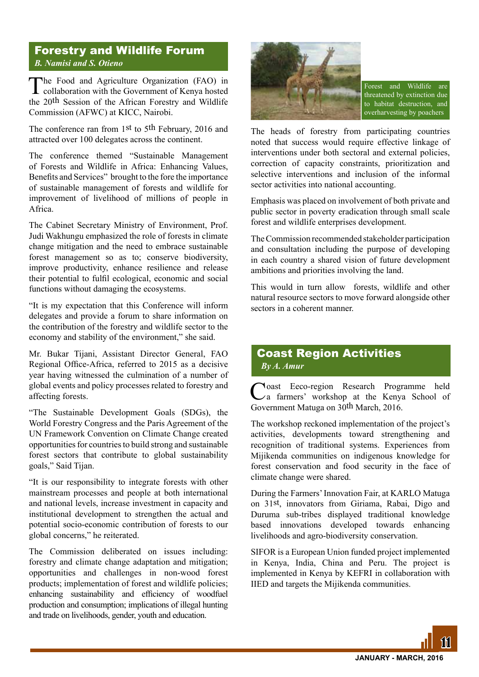# Forestry and Wildlife Forum *B. Namisi and S. Otieno*

The Food and Agriculture Organization (FAO) in collaboration with the Government of Kenya hosted the 20th Session of the African Forestry and Wildlife Commission (AFWC) at KICC, Nairobi.

The conference ran from 1st to 5th February, 2016 and attracted over 100 delegates across the continent.

The conference themed "Sustainable Management of Forests and Wildlife in Africa: Enhancing Values, Benefits and Services" brought to the fore the importance of sustainable management of forests and wildlife for improvement of livelihood of millions of people in Africa.

The Cabinet Secretary Ministry of Environment, Prof. Judi Wakhungu emphasized the role of forests in climate change mitigation and the need to embrace sustainable forest management so as to; conserve biodiversity, improve productivity, enhance resilience and release their potential to fulfil ecological, economic and social functions without damaging the ecosystems.

"It is my expectation that this Conference will inform delegates and provide a forum to share information on the contribution of the forestry and wildlife sector to the economy and stability of the environment," she said.

Mr. Bukar Tijani, Assistant Director General, FAO Regional Office-Africa, referred to 2015 as a decisive year having witnessed the culmination of a number of global events and policy processes related to forestry and affecting forests.

"The Sustainable Development Goals (SDGs), the World Forestry Congress and the Paris Agreement of the UN Framework Convention on Climate Change created opportunities for countries to build strong and sustainable forest sectors that contribute to global sustainability goals," Said Tijan.

"It is our responsibility to integrate forests with other mainstream processes and people at both international and national levels, increase investment in capacity and institutional development to strengthen the actual and potential socio-economic contribution of forests to our global concerns," he reiterated.

The Commission deliberated on issues including: forestry and climate change adaptation and mitigation; opportunities and challenges in non-wood forest products; implementation of forest and wildlife policies; enhancing sustainability and efficiency of woodfuel production and consumption; implications of illegal hunting and trade on livelihoods, gender, youth and education.



Forest and Wildlife are threatened by extinction due to habitat destruction, and overharvesting by poachers

The heads of forestry from participating countries noted that success would require effective linkage of interventions under both sectoral and external policies, correction of capacity constraints, prioritization and selective interventions and inclusion of the informal sector activities into national accounting.

Emphasis was placed on involvement of both private and public sector in poverty eradication through small scale forest and wildlife enterprises development.

The Commission recommended stakeholder participation and consultation including the purpose of developing in each country a shared vision of future development ambitions and priorities involving the land.

This would in turn allow forests, wildlife and other natural resource sectors to move forward alongside other sectors in a coherent manner.

# Coast Region Activities *By A. Amur*

Coast Eeco-region Research Programme held a farmers' workshop at the Kenya School of Government Matuga on 30th March, 2016.

The workshop reckoned implementation of the project's activities, developments toward strengthening and recognition of traditional systems. Experiences from Mijikenda communities on indigenous knowledge for forest conservation and food security in the face of climate change were shared.

During the Farmers' Innovation Fair, at KARLO Matuga on 31st, innovators from Giriama, Rabai, Digo and Duruma sub-tribes displayed traditional knowledge based innovations developed towards enhancing livelihoods and agro-biodiversity conservation.

SIFOR is a European Union funded project implemented in Kenya, India, China and Peru. The project is implemented in Kenya by KEFRI in collaboration with IIED and targets the Mijikenda communities.

<u>111</u>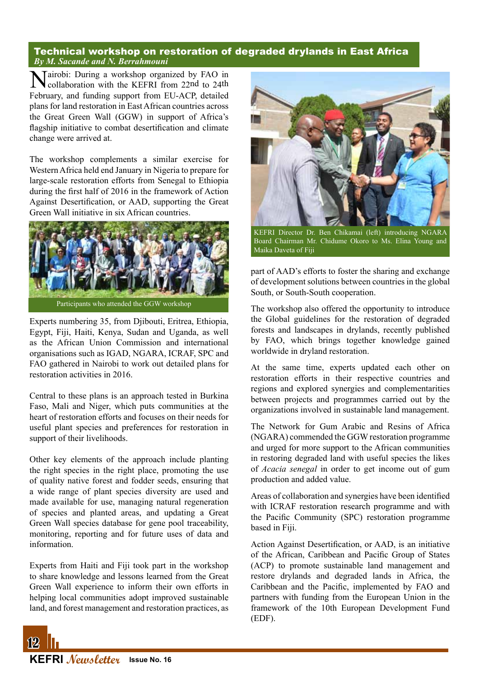#### Technical workshop on restoration of degraded drylands in East Africa *By M. Sacande and N. Berrahmouni*

Mairobi: During a workshop organized by FAO in collaboration with the KEFRI from 22nd to 24th February, and funding support from EU-ACP, detailed plans for land restoration in East African countries across the Great Green Wall (GGW) in support of Africa's flagship initiative to combat desertification and climate change were arrived at.

The workshop complements a similar exercise for Western Africa held end January in Nigeria to prepare for large-scale restoration efforts from Senegal to Ethiopia during the first half of 2016 in the framework of Action Against Desertification, or AAD, supporting the Great Green Wall initiative in six African countries.



Participants who attended the GGW workshop

Experts numbering 35, from Djibouti, Eritrea, Ethiopia, Egypt, Fiji, Haiti, Kenya, Sudan and Uganda, as well as the African Union Commission and international organisations such as IGAD, NGARA, ICRAF, SPC and FAO gathered in Nairobi to work out detailed plans for restoration activities in 2016.

Central to these plans is an approach tested in Burkina Faso, Mali and Niger, which puts communities at the heart of restoration efforts and focuses on their needs for useful plant species and preferences for restoration in support of their livelihoods.

Other key elements of the approach include planting the right species in the right place, promoting the use of quality native forest and fodder seeds, ensuring that a wide range of plant species diversity are used and made available for use, managing natural regeneration of species and planted areas, and updating a Great Green Wall species database for gene pool traceability, monitoring, reporting and for future uses of data and information.

Experts from Haiti and Fiji took part in the workshop to share knowledge and lessons learned from the Great Green Wall experience to inform their own efforts in helping local communities adopt improved sustainable land, and forest management and restoration practices, as



KEFRI Director Dr. Ben Chikamai (left) introducing NGARA Board Chairman Mr. Chidume Okoro to Ms. Elina Young and Maika Daveta of Fiji

part of AAD's efforts to foster the sharing and exchange of development solutions between countries in the global South, or South-South cooperation.

The workshop also offered the opportunity to introduce the Global guidelines for the restoration of degraded forests and landscapes in drylands, recently published by FAO, which brings together knowledge gained worldwide in dryland restoration.

At the same time, experts updated each other on restoration efforts in their respective countries and regions and explored synergies and complementarities between projects and programmes carried out by the organizations involved in sustainable land management.

The Network for Gum Arabic and Resins of Africa (NGARA) commended the GGW restoration programme and urged for more support to the African communities in restoring degraded land with useful species the likes of *Acacia senegal* in order to get income out of gum production and added value.

Areas of collaboration and synergies have been identified with ICRAF restoration research programme and with the Pacific Community (SPC) restoration programme based in Fiji.

Action Against Desertification, or AAD, is an initiative of the African, Caribbean and Pacific Group of States (ACP) to promote sustainable land management and restore drylands and degraded lands in Africa, the Caribbean and the Pacific, implemented by FAO and partners with funding from the European Union in the framework of the 10th European Development Fund (EDF).

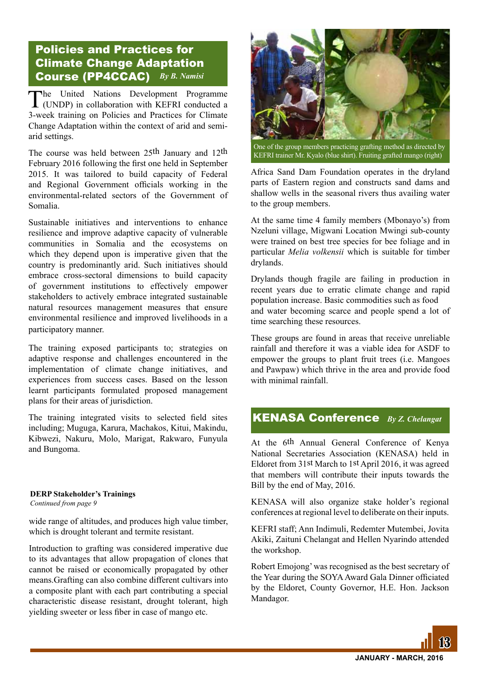# Policies and Practices for Climate Change Adaptation Course (PP4CCAC) *By B. Namisi*

The United Nations Development Programme (UNDP) in collaboration with KEFRI conducted a 3-week training on Policies and Practices for Climate Change Adaptation within the context of arid and semiarid settings.

The course was held between 25th January and 12th February 2016 following the first one held in September 2015. It was tailored to build capacity of Federal and Regional Government officials working in the environmental-related sectors of the Government of Somalia.

Sustainable initiatives and interventions to enhance resilience and improve adaptive capacity of vulnerable communities in Somalia and the ecosystems on which they depend upon is imperative given that the country is predominantly arid. Such initiatives should embrace cross-sectoral dimensions to build capacity of government institutions to effectively empower stakeholders to actively embrace integrated sustainable natural resources management measures that ensure environmental resilience and improved livelihoods in a participatory manner.

The training exposed participants to; strategies on adaptive response and challenges encountered in the implementation of climate change initiatives, and experiences from success cases. Based on the lesson learnt participants formulated proposed management plans for their areas of jurisdiction.

The training integrated visits to selected field sites including; Muguga, Karura, Machakos, Kitui, Makindu, Kibwezi, Nakuru, Molo, Marigat, Rakwaro, Funyula and Bungoma.

#### *Continued from page 9* **DERP Stakeholder's Trainings**

wide range of altitudes, and produces high value timber, which is drought tolerant and termite resistant.

Introduction to grafting was considered imperative due to its advantages that allow propagation of clones that cannot be raised or economically propagated by other means.Grafting can also combine different cultivars into a composite plant with each part contributing a special characteristic disease resistant, drought tolerant, high yielding sweeter or less fiber in case of mango etc.



One of the group members practicing grafting method as directed by KEFRI trainer Mr. Kyalo (blue shirt). Fruiting grafted mango (right)

Africa Sand Dam Foundation operates in the dryland parts of Eastern region and constructs sand dams and shallow wells in the seasonal rivers thus availing water to the group members.

At the same time 4 family members (Mbonayo's) from Nzeluni village, Migwani Location Mwingi sub-county were trained on best tree species for bee foliage and in particular *Melia volkensii* which is suitable for timber drylands.

Drylands though fragile are failing in production in recent years due to erratic climate change and rapid population increase. Basic commodities such as food and water becoming scarce and people spend a lot of time searching these resources.

These groups are found in areas that receive unreliable rainfall and therefore it was a viable idea for ASDF to empower the groups to plant fruit trees (i.e. Mangoes and Pawpaw) which thrive in the area and provide food with minimal rainfall

# KENASA Conference *By Z. Chelangat*

At the 6th Annual General Conference of Kenya National Secretaries Association (KENASA) held in Eldoret from 31st March to 1st April 2016, it was agreed that members will contribute their inputs towards the Bill by the end of May, 2016.

KENASA will also organize stake holder's regional conferences at regional level to deliberate on their inputs.

KEFRI staff; Ann Indimuli, Redemter Mutembei, Jovita Akiki, Zaituni Chelangat and Hellen Nyarindo attended the workshop.

Robert Emojong' was recognised as the best secretary of the Year during the SOYA Award Gala Dinner officiated by the Eldoret, County Governor, H.E. Hon. Jackson Mandagor.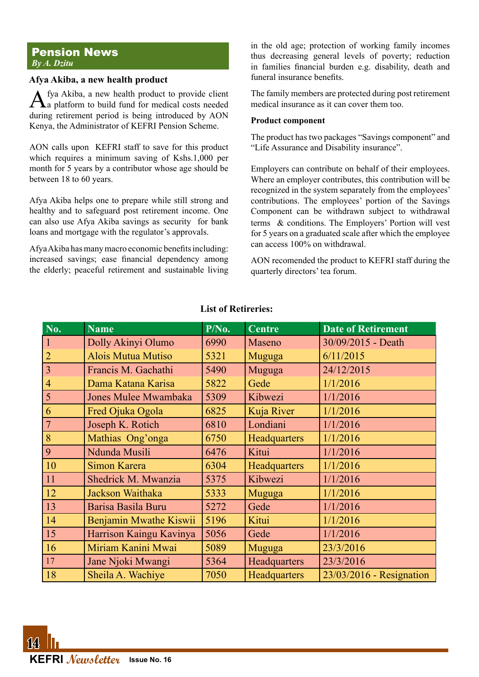#### Pension News *By A. Dzitu*

#### **Afya Akiba, a new health product**

Afya Akiba, a new health product to provide client a platform to build fund for medical costs needed during retirement period is being introduced by AON Kenya, the Administrator of KEFRI Pension Scheme.

AON calls upon KEFRI staff to save for this product which requires a minimum saving of Kshs.1,000 per month for 5 years by a contributor whose age should be between 18 to 60 years.

Afya Akiba helps one to prepare while still strong and healthy and to safeguard post retirement income. One can also use Afya Akiba savings as security for bank loans and mortgage with the regulator's approvals.

Afya Akiba has many macro economic benefits including: increased savings; ease financial dependency among the elderly; peaceful retirement and sustainable living in the old age; protection of working family incomes thus decreasing general levels of poverty; reduction in families financial burden e.g. disability, death and funeral insurance benefits.

The family members are protected during post retirement medical insurance as it can cover them too.

#### **Product component**

The product has two packages "Savings component" and "Life Assurance and Disability insurance".

Employers can contribute on behalf of their employees. Where an employer contributes, this contribution will be recognized in the system separately from the employees' contributions. The employees' portion of the Savings Component can be withdrawn subject to withdrawal terms & conditions. The Employers' Portion will vest for 5 years on a graduated scale after which the employee can access 100% on withdrawal.

AON recomended the product to KEFRI staff during the quarterly directors' tea forum.

| $N\overline{0.}$ | <b>Name</b>                 | $P/N0$ . | <b>Centre</b> | <b>Date of Retirement</b> |
|------------------|-----------------------------|----------|---------------|---------------------------|
| $\mathbf{1}$     | Dolly Akinyi Olumo          | 6990     | Maseno        | 30/09/2015 - Death        |
| $\overline{2}$   | <b>Alois Mutua Mutiso</b>   | 5321     | Muguga        | 6/11/2015                 |
| $\overline{3}$   | Francis M. Gachathi         | 5490     | Muguga        | 24/12/2015                |
| $\overline{4}$   | Dama Katana Karisa          | 5822     | Gede          | 1/1/2016                  |
| 5                | <b>Jones Mulee Mwambaka</b> | 5309     | Kibwezi       | 1/1/2016                  |
| 6                | Fred Ojuka Ogola            | 6825     | Kuja River    | 1/1/2016                  |
| $\overline{7}$   | Joseph K. Rotich            | 6810     | Londiani      | 1/1/2016                  |
| 8                | Mathias Ong'onga            | 6750     | Headquarters  | 1/1/2016                  |
| 9                | Ndunda Musili               | 6476     | Kitui         | 1/1/2016                  |
| 10               | Simon Karera                | 6304     | Headquarters  | 1/1/2016                  |
| 11               | Shedrick M. Mwanzia         | 5375     | Kibwezi       | 1/1/2016                  |
| 12               | Jackson Waithaka            | 5333     | Muguga        | 1/1/2016                  |
| 13               | Barisa Basila Buru          | 5272     | Gede          | 1/1/2016                  |
| 14               | Benjamin Mwathe Kiswii      | 5196     | Kitui         | 1/1/2016                  |
| 15               | Harrison Kaingu Kavinya     | 5056     | Gede          | 1/1/2016                  |
| 16               | Miriam Kanini Mwai          | 5089     | Muguga        | 23/3/2016                 |
| 17               | Jane Njoki Mwangi           | 5364     | Headquarters  | 23/3/2016                 |
| 18               | Sheila A. Wachiye           | 7050     | Headquarters  | 23/03/2016 - Resignation  |

### **List of Retireries:**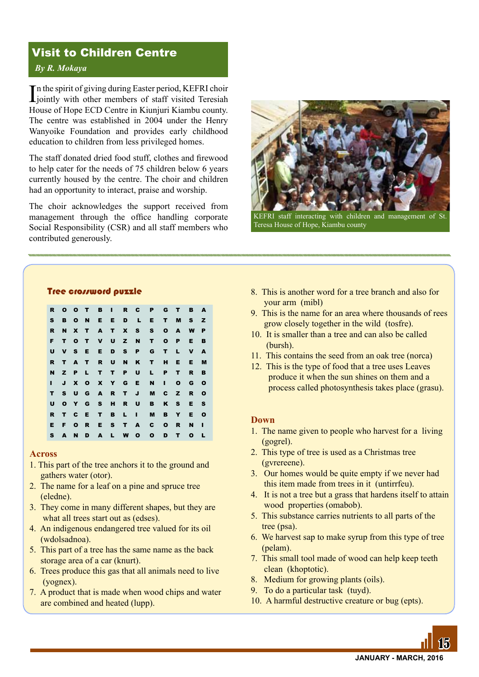# Visit to Children Centre

#### *By R. Mokaya*

In the spirit of giving during Easter period, KEFRI choir<br>jointly with other members of staff visited Teresiah n the spirit of giving during Easter period, KEFRI choir House of Hope ECD Centre in Kiunjuri Kiambu county. The centre was established in 2004 under the Henry Wanyoike Foundation and provides early childhood education to children from less privileged homes.

The staff donated dried food stuff, clothes and firewood to help cater for the needs of 75 children below 6 years currently housed by the centre. The choir and children had an opportunity to interact, praise and worship.

The choir acknowledges the support received from management through the office handling corporate Social Responsibility (CSR) and all staff members who contributed generously.



KEFRI staff interacting with children and management of St. Teresa House of Hope, Kiambu county

#### Tree crossword puzzle

|              |       |  |               |                 | R O O T B I R C P G T |             |              | <b>B</b> A   |              |
|--------------|-------|--|---------------|-----------------|-----------------------|-------------|--------------|--------------|--------------|
| $\mathbf{s}$ |       |  |               |                 | <b>BONEEDLE</b>       |             | T M          | s z          |              |
| R            |       |  |               |                 | N X T A T X S S O A   |             |              | W            | P            |
| F            |       |  |               |                 | T O T V U Z N T O P   |             |              | Е            | в            |
| U            |       |  |               | V S E E D S P   |                       | G T L       |              | $\mathbf v$  | A            |
| R.           |       |  |               |                 | TAT RUNKT             |             | H E          | Е            | M            |
| N            |       |  | Z P L T T P U |                 | $\mathbf{L}$          | <b>P</b>    | т            | R            | в            |
| п            |       |  | J X O X Y G E |                 | $\mathbf{N}$          | - 11        | $\mathbf{o}$ | G            | $\mathbf{o}$ |
|              |       |  |               | T S U G A R T J | M                     | C Z         |              | R            | $\mathbf{o}$ |
| U            |       |  |               | O Y G S H R U   | $\mathbf{B}$          |             | K S          | E.           | <b>S</b>     |
| R.           |       |  |               | T C E T B L I   | м                     | BY          |              | Е            | $\mathbf{o}$ |
| Е.           | F O R |  |               | ESTA            |                       | C O R       |              | <b>N</b>     | - 1          |
| S.           |       |  |               | AND ALWO        |                       | $O$ $D$ $T$ |              | $\mathbf{o}$ |              |

#### **Across**

- 1. This part of the tree anchors it to the ground and gathers water (otor).
- 2. The name for a leaf on a pine and spruce tree (eledne).
- 3. They come in many different shapes, but they are what all trees start out as (edses).
- 4. An indigenous endangered tree valued for its oil (wdolsadnoa).
- 5. This part of a tree has the same name as the back storage area of a car (knurt).
- 6. Trees produce this gas that all animals need to live (yognex).
- 7. A product that is made when wood chips and water are combined and heated (lupp).
- 8. This is another word for a tree branch and also for your arm (mibl)
- 9. This is the name for an area where thousands of rees grow closely together in the wild (tosfre).
- 10. It is smaller than a tree and can also be called (bursh).
- 11. This contains the seed from an oak tree (norca)
- 12. This is the type of food that a tree uses Leaves produce it when the sun shines on them and a process called photosynthesis takes place (grasu).

#### **Down**

- 1. The name given to people who harvest for a living (gogrel).
- 2. This type of tree is used as a Christmas tree (gvrereene).
- 3. Our homes would be quite empty if we never had this item made from trees in it (untirrfeu).
- 4. It is not a tree but a grass that hardens itself to attain wood properties (omabob).
- 5. This substance carries nutrients to all parts of the tree (psa).
- 6. We harvest sap to make syrup from this type of tree (pelam).
- 7. This small tool made of wood can help keep teeth clean (khoptotic).
- 8. Medium for growing plants (oils).
- 9. To do a particular task (tuyd).
- 10. A harmful destructive creature or bug (epts).

15